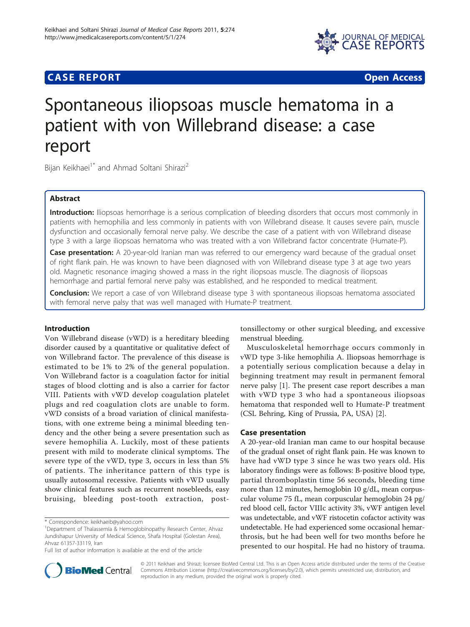

# **CASE REPORT CASE REPORT CASE REPORT**

# Spontaneous iliopsoas muscle hematoma in a patient with von Willebrand disease: a case report

Bijan Keikhaei<sup>1\*</sup> and Ahmad Soltani Shirazi<sup>2</sup>

# Abstract

Introduction: Iliopsoas hemorrhage is a serious complication of bleeding disorders that occurs most commonly in patients with hemophilia and less commonly in patients with von Willebrand disease. It causes severe pain, muscle dysfunction and occasionally femoral nerve palsy. We describe the case of a patient with von Willebrand disease type 3 with a large iliopsoas hematoma who was treated with a von Willebrand factor concentrate (Humate-P).

Case presentation: A 20-year-old Iranian man was referred to our emergency ward because of the gradual onset of right flank pain. He was known to have been diagnosed with von Willebrand disease type 3 at age two years old. Magnetic resonance imaging showed a mass in the right iliopsoas muscle. The diagnosis of iliopsoas hemorrhage and partial femoral nerve palsy was established, and he responded to medical treatment.

Conclusion: We report a case of von Willebrand disease type 3 with spontaneous iliopsoas hematoma associated with femoral nerve palsy that was well managed with Humate-P treatment.

# Introduction

Von Willebrand disease (vWD) is a hereditary bleeding disorder caused by a quantitative or qualitative defect of von Willebrand factor. The prevalence of this disease is estimated to be 1% to 2% of the general population. Von Willebrand factor is a coagulation factor for initial stages of blood clotting and is also a carrier for factor VIII. Patients with vWD develop coagulation platelet plugs and red coagulation clots are unable to form. vWD consists of a broad variation of clinical manifestations, with one extreme being a minimal bleeding tendency and the other being a severe presentation such as severe hemophilia A. Luckily, most of these patients present with mild to moderate clinical symptoms. The severe type of the vWD, type 3, occurs in less than 5% of patients. The inheritance pattern of this type is usually autosomal recessive. Patients with vWD usually show clinical features such as recurrent nosebleeds, easy bruising, bleeding post-tooth extraction, posttonsillectomy or other surgical bleeding, and excessive menstrual bleeding.

Musculoskeletal hemorrhage occurs commonly in vWD type 3-like hemophilia A. Iliopsoas hemorrhage is a potentially serious complication because a delay in beginning treatment may result in permanent femoral nerve palsy [\[1](#page-2-0)]. The present case report describes a man with vWD type 3 who had a spontaneous iliopsoas hematoma that responded well to Humate-P treatment (CSL Behring, King of Prussia, PA, USA) [[2](#page-2-0)].

#### Case presentation

A 20-year-old Iranian man came to our hospital because of the gradual onset of right flank pain. He was known to have had vWD type 3 since he was two years old. His laboratory findings were as follows: B-positive blood type, partial thromboplastin time 56 seconds, bleeding time more than 12 minutes, hemoglobin 10 g/dL, mean corpuscular volume 75 fL, mean corpuscular hemoglobin 24 pg/ red blood cell, factor VIIIc activity 3%, vWF antigen level was undetectable, and vWF ristocetin cofactor activity was undetectable. He had experienced some occasional hemarthrosis, but he had been well for two months before he presented to our hospital. He had no history of trauma.



© 2011 Keikhaei and Shirazi; licensee BioMed Central Ltd. This is an Open Access article distributed under the terms of the Creative Commons Attribution License [\(http://creativecommons.org/licenses/by/2.0](http://creativecommons.org/licenses/by/2.0)), which permits unrestricted use, distribution, and reproduction in any medium, provided the original work is properly cited.

<sup>\*</sup> Correspondence: [keikhaeib@yahoo.com](mailto:keikhaeib@yahoo.com)

<sup>&</sup>lt;sup>1</sup>Department of Thalassemia & Hemoglobinopathy Research Center, Ahvaz Jundishapur University of Medical Science, Shafa Hospital (Golestan Area), Ahvaz 61357-33119, Iran

Full list of author information is available at the end of the article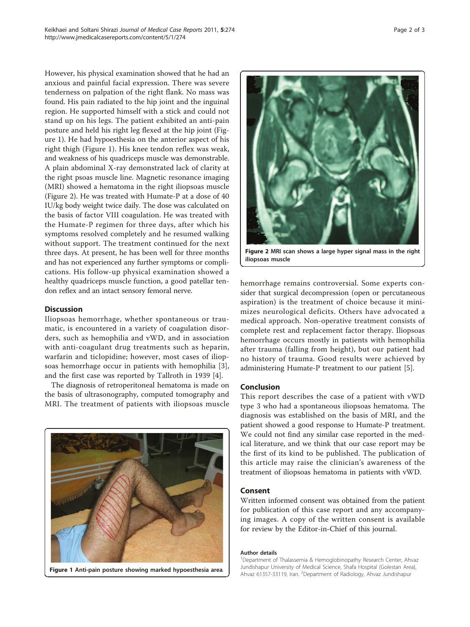However, his physical examination showed that he had an anxious and painful facial expression. There was severe tenderness on palpation of the right flank. No mass was found. His pain radiated to the hip joint and the inguinal region. He supported himself with a stick and could not stand up on his legs. The patient exhibited an anti-pain posture and held his right leg flexed at the hip joint (Figure 1). He had hypoesthesia on the anterior aspect of his right thigh (Figure 1). His knee tendon reflex was weak, and weakness of his quadriceps muscle was demonstrable. A plain abdominal X-ray demonstrated lack of clarity at the right psoas muscle line. Magnetic resonance imaging (MRI) showed a hematoma in the right iliopsoas muscle (Figure 2). He was treated with Humate-P at a dose of 40 IU/kg body weight twice daily. The dose was calculated on the basis of factor VIII coagulation. He was treated with the Humate-P regimen for three days, after which his symptoms resolved completely and he resumed walking without support. The treatment continued for the next three days. At present, he has been well for three months and has not experienced any further symptoms or complications. His follow-up physical examination showed a healthy quadriceps muscle function, a good patellar tendon reflex and an intact sensory femoral nerve.

## **Discussion**

Iliopsoas hemorrhage, whether spontaneous or traumatic, is encountered in a variety of coagulation disorders, such as hemophilia and vWD, and in association with anti-coagulant drug treatments such as heparin, warfarin and ticlopidine; however, most cases of iliopsoas hemorrhage occur in patients with hemophilia [\[3](#page-2-0)], and the first case was reported by Tallroth in 1939 [[4\]](#page-2-0).

The diagnosis of retroperitoneal hematoma is made on the basis of ultrasonography, computed tomography and MRI. The treatment of patients with iliopsoas muscle





Figure 2 MRI scan shows a large hyper signal mass in the right iliopsoas muscle

hemorrhage remains controversial. Some experts consider that surgical decompression (open or percutaneous aspiration) is the treatment of choice because it minimizes neurological deficits. Others have advocated a medical approach. Non-operative treatment consists of complete rest and replacement factor therapy. Iliopsoas hemorrhage occurs mostly in patients with hemophilia after trauma (falling from height), but our patient had no history of trauma. Good results were achieved by administering Humate-P treatment to our patient [\[5](#page-2-0)].

#### Conclusion

This report describes the case of a patient with vWD type 3 who had a spontaneous iliopsoas hematoma. The diagnosis was established on the basis of MRI, and the patient showed a good response to Humate-P treatment. We could not find any similar case reported in the medical literature, and we think that our case report may be the first of its kind to be published. The publication of this article may raise the clinician's awareness of the treatment of iliopsoas hematoma in patients with vWD.

# Consent

Written informed consent was obtained from the patient for publication of this case report and any accompanying images. A copy of the written consent is available for review by the Editor-in-Chief of this journal.

#### Author details

<sup>1</sup>Department of Thalassemia & Hemoglobinopathy Research Center, Ahvaz Jundishapur University of Medical Science, Shafa Hospital (Golestan Area), Figure 1 Anti-pain posture showing marked hypoesthesia area.<br>Ahvaz 61357-33119, Iran. <sup>2</sup>Department of Radiology, Ahvaz Jundishapur